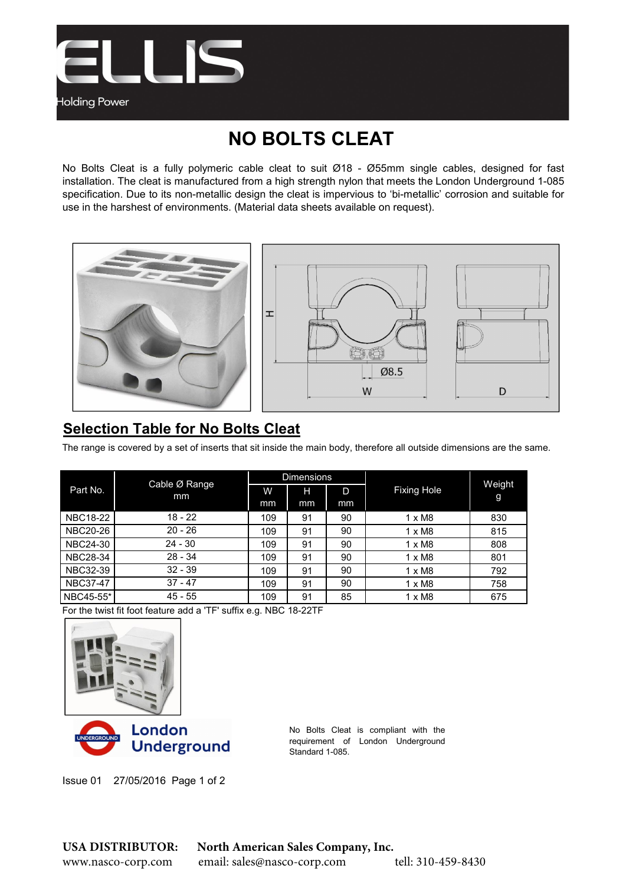

## NO BOLTS CLEAT

No Bolts Cleat is a fully polymeric cable cleat to suit Ø18 - Ø55mm single cables, designed for fast installation. The cleat is manufactured from a high strength nylon that meets the London Underground 1-085 specification. Due to its non-metallic design the cleat is impervious to 'bi-metallic' corrosion and suitable for use in the harshest of environments. (Material data sheets available on request).





## Selection Table for No Bolts Cleat

The range is covered by a set of inserts that sit inside the main body, therefore all outside dimensions are the same.

| Part No.        | Cable Ø Range<br>mm | <b>Dimensions</b> |    |    |                    |             |
|-----------------|---------------------|-------------------|----|----|--------------------|-------------|
|                 |                     | W                 | н  | D  | <b>Fixing Hole</b> | Weight<br>g |
|                 |                     | mm                | mm | mm |                    |             |
| <b>NBC18-22</b> | $18 - 22$           | 109               | 91 | 90 | $1 \times M8$      | 830         |
| <b>NBC20-26</b> | $20 - 26$           | 109               | 91 | 90 | $1 \times M8$      | 815         |
| <b>NBC24-30</b> | $24 - 30$           | 109               | 91 | 90 | $1 \times M8$      | 808         |
| <b>NBC28-34</b> | $28 - 34$           | 109               | 91 | 90 | $1 \times M8$      | 801         |
| <b>NBC32-39</b> | $32 - 39$           | 109               | 91 | 90 | $1 \times M8$      | 792         |
| <b>NBC37-47</b> | $37 - 47$           | 109               | 91 | 90 | $1 \times M8$      | 758         |
| NBC45-55*       | $45 - 55$           | 109               | 91 | 85 | $1 \times M8$      | 675         |

For the twist fit foot feature add a 'TF' suffix e.g. NBC 18-22TF





No Bolts Cleat is compliant with the requirement of London Underground Standard 1-085.

Issue 01 27/05/2016 Page 1 of 2